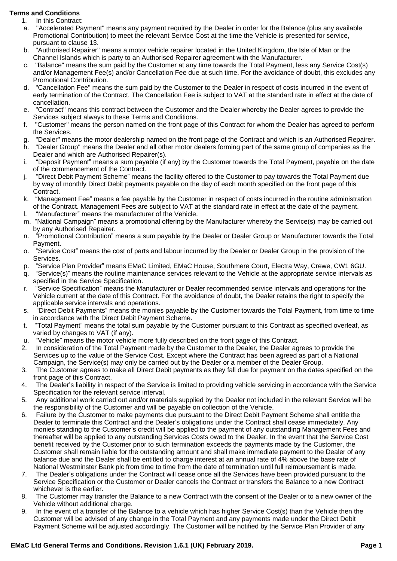## **Terms and Conditions**

- 1. In this Contract:
- a. "Accelerated Payment" means any payment required by the Dealer in order for the Balance (plus any available Promotional Contribution) to meet the relevant Service Cost at the time the Vehicle is presented for service, pursuant to clause 13.
- b. "Authorised Repairer" means a motor vehicle repairer located in the United Kingdom, the Isle of Man or the Channel Islands which is party to an Authorised Repairer agreement with the Manufacturer.
- c. "Balance" means the sum paid by the Customer at any time towards the Total Payment, less any Service Cost(s) and/or Management Fee(s) and/or Cancellation Fee due at such time. For the avoidance of doubt, this excludes any Promotional Contribution.
- d. "Cancellation Fee" means the sum paid by the Customer to the Dealer in respect of costs incurred in the event of early termination of the Contract. The Cancellation Fee is subject to VAT at the standard rate in effect at the date of cancellation.
- e. "Contract" means this contract between the Customer and the Dealer whereby the Dealer agrees to provide the Services subject always to these Terms and Conditions.
- f. "Customer" means the person named on the front page of this Contract for whom the Dealer has agreed to perform the Services.
- g. "Dealer" means the motor dealership named on the front page of the Contract and which is an Authorised Repairer.
- h. "Dealer Group" means the Dealer and all other motor dealers forming part of the same group of companies as the Dealer and which are Authorised Repairer(s).
- i. "Deposit Payment" means a sum payable (if any) by the Customer towards the Total Payment, payable on the date of the commencement of the Contract.
- j. "Direct Debit Payment Scheme" means the facility offered to the Customer to pay towards the Total Payment due by way of monthly Direct Debit payments payable on the day of each month specified on the front page of this Contract.
- k. "Management Fee" means a fee payable by the Customer in respect of costs incurred in the routine administration of the Contract. Management Fees are subject to VAT at the standard rate in effect at the date of the payment.
- l. "Manufacturer" means the manufacturer of the Vehicle.
- m. "National Campaign" means a promotional offering by the Manufacturer whereby the Service(s) may be carried out by any Authorised Repairer.
- n. "Promotional Contribution" means a sum payable by the Dealer or Dealer Group or Manufacturer towards the Total Payment.
- o. "Service Cost" means the cost of parts and labour incurred by the Dealer or Dealer Group in the provision of the Services.
- p. "Service Plan Provider" means EMaC Limited, EMaC House, Southmere Court, Electra Way, Crewe, CW1 6GU.
- q. "Service(s)" means the routine maintenance services relevant to the Vehicle at the appropriate service intervals as specified in the Service Specification.
- r. "Service Specification" means the Manufacturer or Dealer recommended service intervals and operations for the Vehicle current at the date of this Contract. For the avoidance of doubt, the Dealer retains the right to specify the applicable service intervals and operations.
- s. "Direct Debit Payments" means the monies payable by the Customer towards the Total Payment, from time to time in accordance with the Direct Debit Payment Scheme.
- t. "Total Payment" means the total sum payable by the Customer pursuant to this Contract as specified overleaf, as varied by changes to VAT (if any).
- u. "Vehicle" means the motor vehicle more fully described on the front page of this Contract.
- 2. In consideration of the Total Payment made by the Customer to the Dealer, the Dealer agrees to provide the Services up to the value of the Service Cost. Except where the Contract has been agreed as part of a National Campaign, the Service(s) may only be carried out by the Dealer or a member of the Dealer Group.
- 3. The Customer agrees to make all Direct Debit payments as they fall due for payment on the dates specified on the front page of this Contract.
- 4. The Dealer's liability in respect of the Service is limited to providing vehicle servicing in accordance with the Service Specification for the relevant service interval.
- 5. Any additional work carried out and/or materials supplied by the Dealer not included in the relevant Service will be the responsibility of the Customer and will be payable on collection of the Vehicle.
- 6. Failure by the Customer to make payments due pursuant to the Direct Debit Payment Scheme shall entitle the Dealer to terminate this Contract and the Dealer's obligations under the Contract shall cease immediately. Any monies standing to the Customer's credit will be applied to the payment of any outstanding Management Fees and thereafter will be applied to any outstanding Services Costs owed to the Dealer. In the event that the Service Cost benefit received by the Customer prior to such termination exceeds the payments made by the Customer, the Customer shall remain liable for the outstanding amount and shall make immediate payment to the Dealer of any balance due and the Dealer shall be entitled to charge interest at an annual rate of 4% above the base rate of National Westminster Bank plc from time to time from the date of termination until full reimbursement is made.
- 7. The Dealer's obligations under the Contract will cease once all the Services have been provided pursuant to the Service Specification or the Customer or Dealer cancels the Contract or transfers the Balance to a new Contract whichever is the earlier.
- 8. The Customer may transfer the Balance to a new Contract with the consent of the Dealer or to a new owner of the Vehicle without additional charge.
- 9. In the event of a transfer of the Balance to a vehicle which has higher Service Cost(s) than the Vehicle then the Customer will be advised of any change in the Total Payment and any payments made under the Direct Debit Payment Scheme will be adjusted accordingly. The Customer will be notified by the Service Plan Provider of any